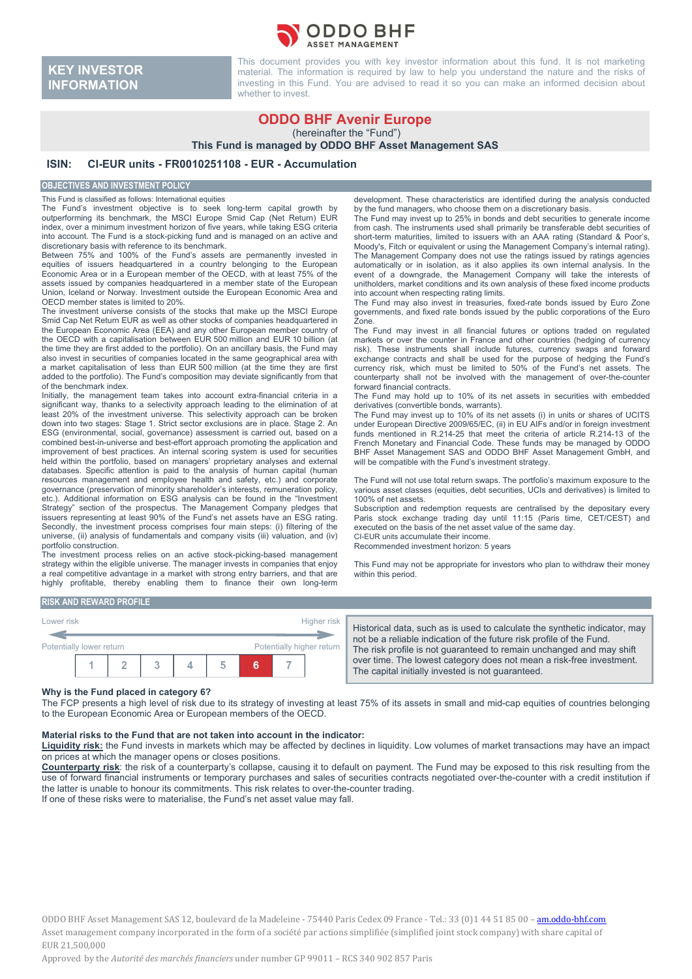

# **KEY INVESTOR INFORMATION**

This document provides you with key investor information about this fund. It is not marketing material. The information is required by law to help you understand the nature and the risks of investing in this Fund. You are advised to read it so you can make an informed decision about whether to invest.

# **ODDO BHF Avenir Europe**

(hereinafter the "Fund")

**This Fund is managed by ODDO BHF Asset Management SAS**

## **ISIN: CI-EUR units - FR0010251108 - EUR - Accumulation**

#### **OBJECTIVES AND INVESTMENT POLICY**

This Fund is classified as follows: International equities

The Fund's investment objective is to seek long-term capital growth by outperforming its benchmark, the MSCI Europe Smid Cap (Net Return) EUR index, over a minimum investment horizon of five years, while taking ESG criteria into account. The Fund is a stock-picking fund and is managed on an active and discretionary basis with reference to its benchmark.

Between 75% and 100% of the Fund's assets are permanently invested in equities of issuers headquartered in a country belonging to the European Economic Area or in a European member of the OECD, with at least 75% of the assets issued by companies headquartered in a member state of the European Union, Iceland or Norway. Investment outside the European Economic Area and OECD member states is limited to 20%.

The investment universe consists of the stocks that make up the MSCI Europe Smid Cap Net Return EUR as well as other stocks of companies headquartered in the European Economic Area (EEA) and any other European member country of the OECD with a capitalisation between EUR 500 million and EUR 10 billion (at the time they are first added to the portfolio). On an ancillary basis, the Fund may also invest in securities of companies located in the same geographical area with a market capitalisation of less than EUR 500 million (at the time they are first added to the portfolio). The Fund's composition may deviate significantly from that of the benchmark index.

Initially, the management team takes into account extra-financial criteria in a significant way, thanks to a selectivity approach leading to the elimination of at least 20% of the investment universe. This selectivity approach can be broken down into two stages: Stage 1. Strict sector exclusions are in place. Stage 2. An ESG (environmental, social, governance) assessment is carried out, based on a combined best-in-universe and best-effort approach promoting the application and improvement of best practices. An internal scoring system is used for securities held within the portfolio, based on managers' proprietary analyses and external databases. Specific attention is paid to the analysis of human capital (human resources management and employee health and safety, etc.) and corporate governance (preservation of minority shareholder's interests, remuneration policy, etc.). Additional information on ESG analysis can be found in the "Investment Strategy" section of the prospectus. The Management Company pledges that issuers representing at least 90% of the Fund's net assets have an ESG rating. Secondly, the investment process comprises four main steps: (i) filtering of the universe, (ii) analysis of fundamentals and company visits (iii) valuation, and (iv) portfolio construction.

The investment process relies on an active stock-picking-based management strategy within the eligible universe. The manager invests in companies that enjoy a real competitive advantage in a market with strong entry barriers, and that are highly profitable, thereby enabling them to finance their own long-term development. These characteristics are identified during the analysis conducted by the fund managers, who choose them on a discretionary basis.

The Fund may invest up to 25% in bonds and debt securities to generate income from cash. The instruments used shall primarily be transferable debt securities of short-term maturities, limited to issuers with an AAA rating (Standard & Poor's, Moody's, Fitch or equivalent or using the Management Company's internal rating). The Management Company does not use the ratings issued by ratings agencies automatically or in isolation, as it also applies its own internal analysis. In the event of a downgrade, the Management Company will take the interests of unitholders, market conditions and its own analysis of these fixed income products into account when respecting rating limits.

The Fund may also invest in treasuries, fixed-rate bonds issued by Euro Zone governments, and fixed rate bonds issued by the public corporations of the Euro Zone.

The Fund may invest in all financial futures or options traded on regulated markets or over the counter in France and other countries (hedging of currency risk). These instruments shall include futures, currency swaps and forward exchange contracts and shall be used for the purpose of hedging the Fund's currency risk, which must be limited to 50% of the Fund's net assets. The counterparty shall not be involved with the management of over-the-counter forward financial contracts.

The Fund may hold up to 10% of its net assets in securities with embedded derivatives (convertible bonds, warrants).

The Fund may invest up to 10% of its net assets (i) in units or shares of UCITS under European Directive 2009/65/EC, (ii) in EU AIFs and/or in foreign investment funds mentioned in R.214-25 that meet the criteria of article R.214-13 of the French Monetary and Financial Code. These funds may be managed by ODDO BHF Asset Management SAS and ODDO BHF Asset Management GmbH, and will be compatible with the Fund's investment strategy.

The Fund will not use total return swaps. The portfolio's maximum exposure to the various asset classes (equities, debt securities, UCIs and derivatives) is limited to 100% of net assets.

Subscription and redemption requests are centralised by the depositary every Paris stock exchange trading day until 11:15 (Paris time, CET/CEST) and executed on the basis of the net asset value of the same day. CI-EUR units accumulate their income.

Recommended investment horizon: 5 years

This Fund may not be appropriate for investors who plan to withdraw their money within this period.

#### **RISK AND REWARD PROFILE**

| Lower risk                                            |  |  |   |  |   |  |  | Higher risk |
|-------------------------------------------------------|--|--|---|--|---|--|--|-------------|
| Potentially higher return<br>Potentially lower return |  |  |   |  |   |  |  |             |
|                                                       |  |  | w |  | 5 |  |  |             |

Historical data, such as is used to calculate the synthetic indicator, may not be a reliable indication of the future risk profile of the Fund. The risk profile is not guaranteed to remain unchanged and may shift over time. The lowest category does not mean a risk-free investment. The capital initially invested is not guaranteed.

#### **Why is the Fund placed in category 6?**

The FCP presents a high level of risk due to its strategy of investing at least 75% of its assets in small and mid-cap equities of countries belonging to the European Economic Area or European members of the OECD.

#### **Material risks to the Fund that are not taken into account in the indicator:**

Liquidity risk: the Fund invests in markets which may be affected by declines in liquidity. Low volumes of market transactions may have an impact on prices at which the manager opens or closes positions.

**Counterparty risk**: the risk of a counterparty's collapse, causing it to default on payment. The Fund may be exposed to this risk resulting from the use of forward financial instruments or temporary purchases and sales of securities contracts negotiated over-the-counter with a credit institution if the latter is unable to honour its commitments. This risk relates to over-the-counter trading. If one of these risks were to materialise, the Fund's net asset value may fall.

ODDO BHF Asset Management SAS 12, boulevard de la Madeleine - 75440 Paris Cedex 09 France - Tel.: 33 (0)1 44 51 85 00 - am.oddo-bhf.com Asset management company incorporated in the form of a société par actions simplifiée (simplified joint stock company) with share capital of EUR 21,500,000